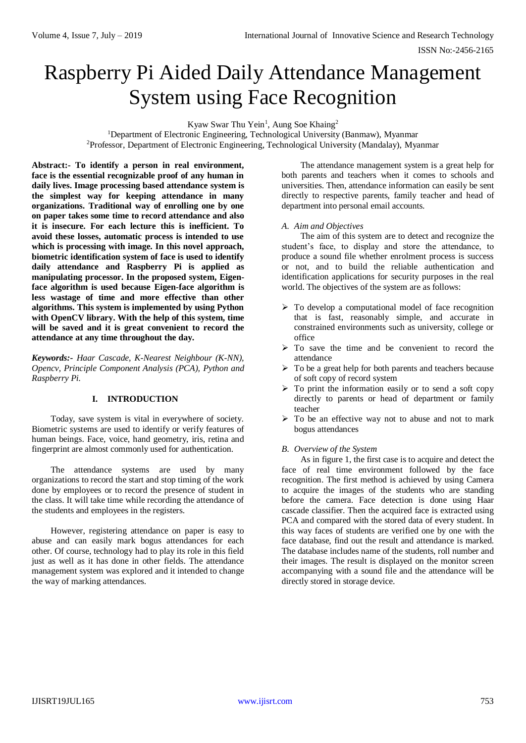# Raspberry Pi Aided Daily Attendance Management System using Face Recognition

Kyaw Swar Thu Yein<sup>1</sup>, Aung Soe Khaing<sup>2</sup>

<sup>1</sup>Department of Electronic Engineering, Technological University (Banmaw), Myanmar <sup>2</sup>Professor, Department of Electronic Engineering, Technological University (Mandalay), Myanmar

**Abstract:- To identify a person in real environment, face is the essential recognizable proof of any human in daily lives. Image processing based attendance system is the simplest way for keeping attendance in many organizations. Traditional way of enrolling one by one on paper takes some time to record attendance and also it is insecure. For each lecture this is inefficient. To avoid these losses, automatic process is intended to use which is processing with image. In this novel approach, biometric identification system of face is used to identify daily attendance and Raspberry Pi is applied as manipulating processor. In the proposed system, Eigenface algorithm is used because Eigen-face algorithm is less wastage of time and more effective than other algorithms. This system is implemented by using Python with OpenCV library. With the help of this system, time will be saved and it is great convenient to record the attendance at any time throughout the day.**

*Keywords:- Haar Cascade, K-Nearest Neighbour (K-NN), Opencv, Principle Component Analysis (PCA), Python and Raspberry Pi.*

# **I. INTRODUCTION**

Today, save system is vital in everywhere of society. Biometric systems are used to identify or verify features of human beings. Face, voice, hand geometry, iris, retina and fingerprint are almost commonly used for authentication.

The attendance systems are used by many organizations to record the start and stop timing of the work done by employees or to record the presence of student in the class. It will take time while recording the attendance of the students and employees in the registers.

However, registering attendance on paper is easy to abuse and can easily mark bogus attendances for each other. Of course, technology had to play its role in this field just as well as it has done in other fields. The attendance management system was explored and it intended to change the way of marking attendances.

The attendance management system is a great help for both parents and teachers when it comes to schools and universities. Then, attendance information can easily be sent directly to respective parents, family teacher and head of department into personal email accounts.

## *A. Aim and Objectives*

The aim of this system are to detect and recognize the student's face, to display and store the attendance, to produce a sound file whether enrolment process is success or not, and to build the reliable authentication and identification applications for security purposes in the real world. The objectives of the system are as follows:

- $\triangleright$  To develop a computational model of face recognition that is fast, reasonably simple, and accurate in constrained environments such as university, college or office
- > To save the time and be convenient to record the attendance
- $\triangleright$  To be a great help for both parents and teachers because of soft copy of record system
- $\triangleright$  To print the information easily or to send a soft copy directly to parents or head of department or family teacher
- $\triangleright$  To be an effective way not to abuse and not to mark bogus attendances

#### *B. Overview of the System*

As in figure 1, the first case is to acquire and detect the face of real time environment followed by the face recognition. The first method is achieved by using Camera to acquire the images of the students who are standing before the camera. Face detection is done using Haar cascade classifier. Then the acquired face is extracted using PCA and compared with the stored data of every student. In this way faces of students are verified one by one with the face database, find out the result and attendance is marked. The database includes name of the students, roll number and their images. The result is displayed on the monitor screen accompanying with a sound file and the attendance will be directly stored in storage device.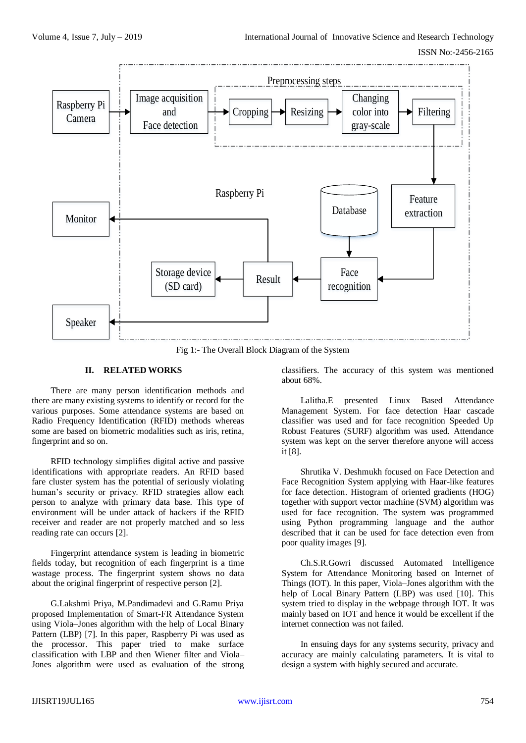

Fig 1:- The Overall Block Diagram of the System

# **II. RELATED WORKS**

There are many person identification methods and there are many existing systems to identify or record for the various purposes. Some attendance systems are based on Radio Frequency Identification (RFID) methods whereas some are based on biometric modalities such as iris, retina, fingerprint and so on.

RFID technology simplifies digital active and passive identifications with appropriate readers. An RFID based fare cluster system has the potential of seriously violating human's security or privacy. RFID strategies allow each person to analyze with primary data base. This type of environment will be under attack of hackers if the RFID receiver and reader are not properly matched and so less reading rate can occurs [2].

Fingerprint attendance system is leading in biometric fields today, but recognition of each fingerprint is a time wastage process. The fingerprint system shows no data about the original fingerprint of respective person [2].

G.Lakshmi Priya, M.Pandimadevi and G.Ramu Priya proposed Implementation of Smart-FR Attendance System using Viola–Jones algorithm with the help of Local Binary Pattern (LBP) [7]. In this paper, Raspberry Pi was used as the processor. This paper tried to make surface classification with LBP and then Wiener filter and Viola– Jones algorithm were used as evaluation of the strong

classifiers. The accuracy of this system was mentioned about 68%.

Lalitha.E presented Linux Based Attendance Management System. For face detection Haar cascade classifier was used and for face recognition Speeded Up Robust Features (SURF) algorithm was used. Attendance system was kept on the server therefore anyone will access it [8].

Shrutika V. Deshmukh focused on Face Detection and Face Recognition System applying with Haar-like features for face detection. Histogram of oriented gradients (HOG) together with support vector machine (SVM) algorithm was used for face recognition. The system was programmed using Python programming language and the author described that it can be used for face detection even from poor quality images [9].

Ch.S.R.Gowri discussed Automated Intelligence System for Attendance Monitoring based on Internet of Things (IOT). In this paper, Viola–Jones algorithm with the help of Local Binary Pattern (LBP) was used [10]. This system tried to display in the webpage through IOT. It was mainly based on IOT and hence it would be excellent if the internet connection was not failed.

In ensuing days for any systems security, privacy and accuracy are mainly calculating parameters. It is vital to design a system with highly secured and accurate.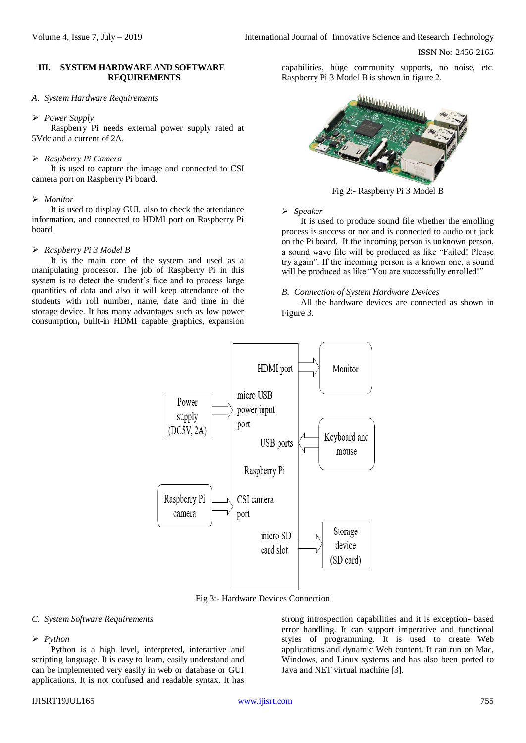## **III. SYSTEM HARDWARE AND SOFTWARE REQUIREMENTS**

## *A. System Hardware Requirements*

#### *Power Supply*

Raspberry Pi needs external power supply rated at 5Vdc and a current of 2A.

# *Raspberry Pi Camera*

It is used to capture the image and connected to CSI camera port on Raspberry Pi board.

## *Monitor*

It is used to display GUI, also to check the attendance information, and connected to HDMI port on Raspberry Pi board.

# *Raspberry Pi 3 Model B*

It is the main core of the system and used as a manipulating processor. The job of Raspberry Pi in this system is to detect the student's face and to process large quantities of data and also it will keep attendance of the students with roll number, name, date and time in the storage device. It has many advantages such as low power consumption**,** built-in HDMI capable graphics, expansion

capabilities, huge community supports, no noise, etc. Raspberry Pi 3 Model B is shown in figure 2.



Fig 2:- Raspberry Pi 3 Model B

## *Speaker*

It is used to produce sound file whether the enrolling process is success or not and is connected to audio out jack on the Pi board. If the incoming person is unknown person, a sound wave file will be produced as like "Failed! Please try again". If the incoming person is a known one, a sound will be produced as like "You are successfully enrolled!"

#### *B. Connection of System Hardware Devices*

All the hardware devices are connected as shown in Figure 3.



Fig 3:- Hardware Devices Connection

# *C. System Software Requirements*

# *Python*

Python is a high level, interpreted, interactive and scripting language. It is easy to learn, easily understand and can be implemented very easily in web or database or GUI applications. It is not confused and readable syntax. It has

strong introspection capabilities and it is exception- based error handling. It can support imperative and functional styles of programming. It is used to create Web applications and dynamic Web content. It can run on Mac, Windows, and Linux systems and has also been ported to Java and NET virtual machine [3].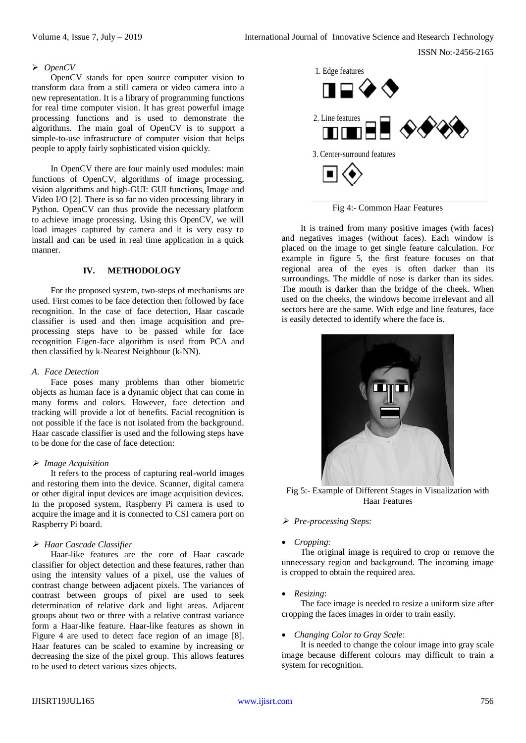ISSN No:-2456-2165

## *OpenCV*

OpenCV stands for open source computer vision to transform data from a still camera or video camera into a new representation. It is a library of programming functions for real time computer vision. It has great powerful image processing functions and is used to demonstrate the algorithms. The main goal of OpenCV is to support a simple-to-use infrastructure of computer vision that helps people to apply fairly sophisticated vision quickly.

In OpenCV there are four mainly used modules: main functions of OpenCV, algorithms of image processing, vision algorithms and high-GUI: GUI functions, Image and Video I/O [2]. There is so far no video processing library in Python. OpenCV can thus provide the necessary platform to achieve image processing. Using this OpenCV, we will load images captured by camera and it is very easy to install and can be used in real time application in a quick manner.

## **IV. METHODOLOGY**

For the proposed system, two-steps of mechanisms are used. First comes to be face detection then followed by face recognition. In the case of face detection, Haar cascade classifier is used and then image acquisition and preprocessing steps have to be passed while for face recognition Eigen-face algorithm is used from PCA and then classified by k-Nearest Neighbour (k-NN).

## *A. Face Detection*

Face poses many problems than other biometric objects as human face is a dynamic object that can come in many forms and colors. However, face detection and tracking will provide a lot of benefits. Facial recognition is not possible if the face is not isolated from the background. Haar cascade classifier is used and the following steps have to be done for the case of face detection:

## *Image Acquisition*

It refers to the process of capturing real-world images and restoring them into the device. Scanner, digital camera or other digital input devices are image acquisition devices. In the proposed system, Raspberry Pi camera is used to acquire the image and it is connected to CSI camera port on Raspberry Pi board.

## *Haar Cascade Classifier*

Haar-like features are the core of Haar cascade classifier for object detection and these features, rather than using the intensity values of a pixel, use the values of contrast change between adjacent pixels. The variances of contrast between groups of pixel are used to seek determination of relative dark and light areas. Adjacent groups about two or three with a relative contrast variance form a Haar-like feature. Haar-like features as shown in Figure 4 are used to detect face region of an image [8]. Haar features can be scaled to examine by increasing or decreasing the size of the pixel group. This allows features to be used to detect various sizes objects.



Fig 4:- Common Haar Features

It is trained from many positive images (with faces) and negatives images (without faces). Each window is placed on the image to get single feature calculation. For example in figure 5, the first feature focuses on that regional area of the eyes is often darker than its surroundings. The middle of nose is darker than its sides. The mouth is darker than the bridge of the cheek. When used on the cheeks, the windows become irrelevant and all sectors here are the same. With edge and line features, face is easily detected to identify where the face is.



Fig 5:- Example of Different Stages in Visualization with Haar Features

- *Pre-processing Steps:*
- *Cropping*:

The original image is required to crop or remove the unnecessary region and background. The incoming image is cropped to obtain the required area.

# *Resizing*:

The face image is needed to resize a uniform size after cropping the faces images in order to train easily.

*Changing Color to Gray Scale*:

It is needed to change the colour image into gray scale image because different colours may difficult to train a system for recognition.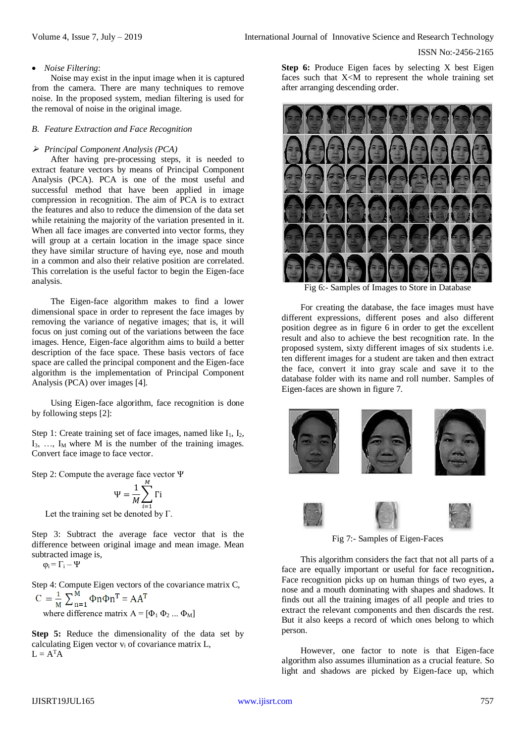ISSN No:-2456-2165

#### *Noise Filtering*:

Noise may exist in the input image when it is captured from the camera. There are many techniques to remove noise. In the proposed system, median filtering is used for the removal of noise in the original image.

#### *B. Feature Extraction and Face Recognition*

#### *Principal Component Analysis (PCA)*

After having pre-processing steps, it is needed to extract feature vectors by means of Principal Component Analysis (PCA). PCA is one of the most useful and successful method that have been applied in image compression in recognition. The aim of PCA is to extract the features and also to reduce the dimension of the data set while retaining the majority of the variation presented in it. When all face images are converted into vector forms, they will group at a certain location in the image space since they have similar structure of having eye, nose and mouth in a common and also their relative position are correlated. This correlation is the useful factor to begin the Eigen-face analysis.

The Eigen-face algorithm makes to find a lower dimensional space in order to represent the face images by removing the variance of negative images; that is, it will focus on just coming out of the variations between the face images. Hence, Eigen-face algorithm aims to build a better description of the face space. These basis vectors of face space are called the principal component and the Eigen-face algorithm is the implementation of Principal Component Analysis (PCA) over images [4].

Using Eigen-face algorithm, face recognition is done by following steps [2]:

Step 1: Create training set of face images, named like  $I_1$ ,  $I_2$ ,  $I_3$ , ...,  $I_M$  where M is the number of the training images. Convert face image to face vector.

Step 2: Compute the average face vector Ψ

$$
\Psi = \frac{1}{M} \sum_{i=1}^{M} \Gamma i
$$

Let the training set be denoted by  $\Gamma$ .

Step 3: Subtract the average face vector that is the difference between original image and mean image. Mean subtracted image is,

 $\varphi_i = \Gamma_i - \Psi$ 

Step 4: Compute Eigen vectors of the covariance matrix C,<br>  $C = \frac{1}{M} \sum_{n=1}^{M} \Phi_n \Phi_n \Phi_n$ <sup>T</sup> = AA<sup>T</sup> where difference matrix  $A = [\Phi_1 \Phi_2 ... \Phi_M]$ 

**Step 5:** Reduce the dimensionality of the data set by calculating Eigen vector v<sup>i</sup> of covariance matrix L,  $L = A<sup>T</sup>A$ 

**Step 6:** Produce Eigen faces by selecting X best Eigen faces such that  $X < M$  to represent the whole training set after arranging descending order.



Fig 6:- Samples of Images to Store in Database

For creating the database, the face images must have different expressions, different poses and also different position degree as in figure 6 in order to get the excellent result and also to achieve the best recognition rate. In the proposed system, sixty different images of six students i.e. ten different images for a student are taken and then extract the face, convert it into gray scale and save it to the database folder with its name and roll number. Samples of Eigen-faces are shown in figure 7.









Fig 7:- Samples of Eigen-Faces

This algorithm considers the fact that not all parts of a face are equally important or useful for face recognition**.** Face recognition picks up on human things of two eyes, a nose and a mouth dominating with shapes and shadows. It finds out all the training images of all people and tries to extract the relevant components and then discards the rest. But it also keeps a record of which ones belong to which person.

However, one factor to note is that Eigen-face algorithm also assumes illumination as a crucial feature. So light and shadows are picked by Eigen-face up, which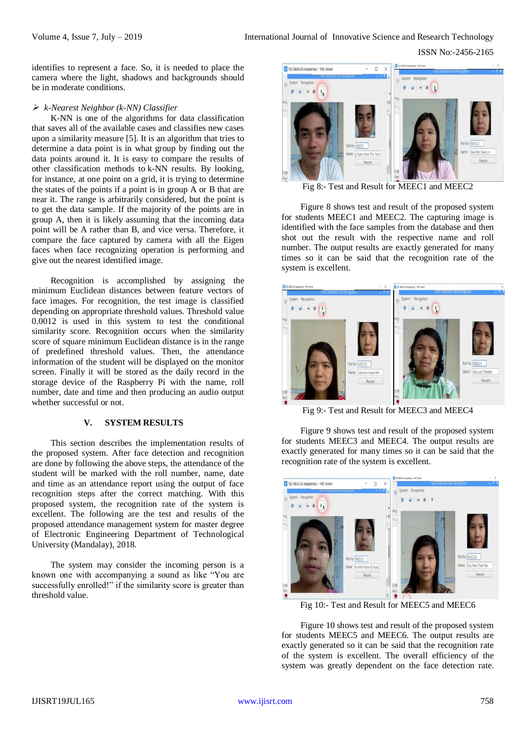ISSN No:-2456-2165

identifies to represent a face. So, it is needed to place the camera where the light, shadows and backgrounds should be in moderate conditions.

#### *k-Nearest Neighbor (k-NN) Classifier*

K-NN is one of the algorithms for data classification that saves all of the available cases and classifies new cases upon a similarity measure [5]. It is an algorithm that tries to determine a data point is in what group by finding out the data points around it. It is easy to compare the results of other classification methods to k*-*NN results. By looking, for instance, at one point on a grid, it is trying to determine the states of the points if a point is in group A or B that are near it. The range is arbitrarily considered, but the point is to get the data sample. If the majority of the points are in group A, then it is likely assuming that the incoming data point will be A rather than B, and vice versa. Therefore, it compare the face captured by camera with all the Eigen faces when face recognizing operation is performing and give out the nearest identified image.

Recognition is accomplished by assigning the minimum Euclidean distances between feature vectors of face images. For recognition, the test image is classified depending on appropriate threshold values. Threshold value 0.0012 is used in this system to test the conditional similarity score. Recognition occurs when the similarity score of square minimum Euclidean distance is in the range of predefined threshold values. Then, the attendance information of the student will be displayed on the monitor screen. Finally it will be stored as the daily record in the storage device of the Raspberry Pi with the name, roll number, date and time and then producing an audio output whether successful or not.

#### **V. SYSTEM RESULTS**

This section describes the implementation results of the proposed system. After face detection and recognition are done by following the above steps, the attendance of the student will be marked with the roll number, name, date and time as an attendance report using the output of face recognition steps after the correct matching. With this proposed system, the recognition rate of the system is excellent. The following are the test and results of the proposed attendance management system for master degree of Electronic Engineering Department of Technological University (Mandalay), 2018.

The system may consider the incoming person is a known one with accompanying a sound as like "You are successfully enrolled!" if the similarity score is greater than threshold value.



Fig 8:- Test and Result for MEEC1 and MEEC2

Figure 8 shows test and result of the proposed system for students MEEC1 and MEEC2. The capturing image is identified with the face samples from the database and then shot out the result with the respective name and roll number. The output results are exactly generated for many times so it can be said that the recognition rate of the system is excellent.



Fig 9:- Test and Result for MEEC3 and MEEC4

Figure 9 shows test and result of the proposed system for students MEEC3 and MEEC4. The output results are exactly generated for many times so it can be said that the recognition rate of the system is excellent.



Fig 10:- Test and Result for MEEC5 and MEEC6

Figure 10 shows test and result of the proposed system for students MEEC5 and MEEC6. The output results are exactly generated so it can be said that the recognition rate of the system is excellent. The overall efficiency of the system was greatly dependent on the face detection rate.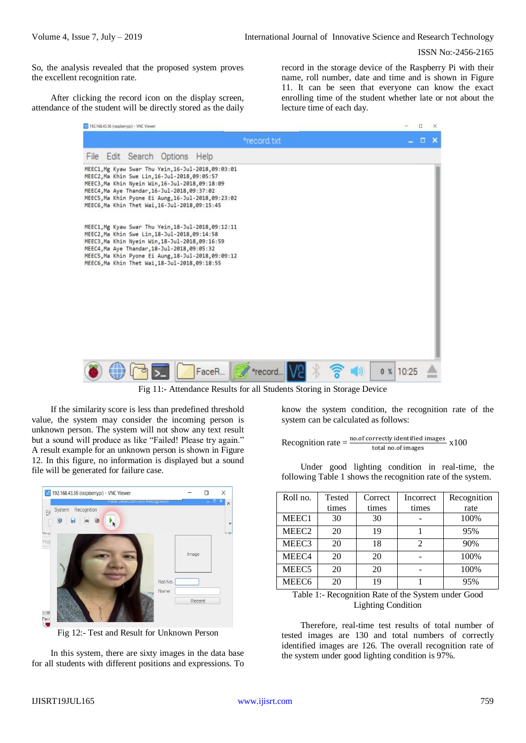ISSN No:-2456-2165

So, the analysis revealed that the proposed system proves the excellent recognition rate.

After clicking the record icon on the display screen, attendance of the student will be directly stored as the daily record in the storage device of the Raspberry Pi with their name, roll number, date and time and is shown in Figure 11. It can be seen that everyone can know the exact enrolling time of the student whether late or not about the lecture time of each day.

|      | 192 192 168 43.36 (raspberrypi) - VNC Viewer |                                                                                                                                                                                                    |                                                                                                            |             |  |    |       | $\Box$ | × |
|------|----------------------------------------------|----------------------------------------------------------------------------------------------------------------------------------------------------------------------------------------------------|------------------------------------------------------------------------------------------------------------|-------------|--|----|-------|--------|---|
|      |                                              |                                                                                                                                                                                                    |                                                                                                            | *record.txt |  |    |       | α.     | × |
| File |                                              | Edit Search Options                                                                                                                                                                                | Help                                                                                                       |             |  |    |       |        |   |
|      |                                              | MEEC2, Ma Khin Swe Lin, 16-Jul-2018, 09:05:57<br>MEEC3, Ma Khin Nyein Win, 16-Jul-2018, 09:18:09<br>MEEC4, Ma Aye Thandar, 16-Jul-2018, 09:37:02<br>MEEC6, Ma Khin Thet Wai, 16-Jul-2018, 09:15:45 | MEEC1, Mg Kyaw Swar Thu Yein, 16-Jul-2018, 09:03:01<br>MEEC5, Ma Khin Pyone Ei Aung, 16-Jul-2018, 09:23:02 |             |  |    |       |        |   |
|      |                                              | MEEC2, Ma Khin Swe Lin, 18-Jul-2018, 09:14:58<br>MEEC3, Ma Khin Nyein Win, 18-Jul-2018, 09:16:59<br>MEEC4, Ma Aye Thandar, 18-Jul-2018, 09:05:32<br>MEEC6, Ma Khin Thet Wai, 18-Jul-2018, 09:18:55 | MEEC1, Mg Kyaw Swar Thu Yein, 18-Jul-2018, 09:12:11<br>MEEC5, Ma Khin Pyone Ei Aung, 18-Jul-2018, 09:09:12 |             |  |    |       |        |   |
|      |                                              |                                                                                                                                                                                                    |                                                                                                            |             |  |    |       |        |   |
|      |                                              |                                                                                                                                                                                                    | FaceR                                                                                                      | *record     |  | 0% | 10:25 |        |   |

Fig 11:- Attendance Results for all Students Storing in Storage Device

If the similarity score is less than predefined threshold value, the system may consider the incoming person is unknown person. The system will not show any text result but a sound will produce as like "Failed! Please try again." A result example for an unknown person is shown in Figure 12. In this figure, no information is displayed but a sound file will be generated for failure case.



Fig 12:- Test and Result for Unknown Person

In this system, there are sixty images in the data base for all students with different positions and expressions. To know the system condition, the recognition rate of the system can be calculated as follows:

Reognition rate = 
$$
\frac{\text{no.of correctly identified images}}{\text{total no.of images}} \times 100
$$

Under good lighting condition in real-time, the following Table 1 shows the recognition rate of the system.

| Roll no.          | Tested | Correct | Incorrect | Recognition |
|-------------------|--------|---------|-----------|-------------|
|                   | times  | times   | times     | rate        |
| MEEC1             | 30     | 30      |           | 100%        |
| MEEC <sub>2</sub> | 20     | 19      |           | 95%         |
| MEEC <sub>3</sub> | 20     | 18      | 2         | 90%         |
| MEEC <sub>4</sub> | 20     | 20      |           | 100%        |
| MEEC <sub>5</sub> | 20     | 20      |           | 100%        |
| MEEC <sub>6</sub> | 20     | 19      |           | 95%         |

Table 1:- Recognition Rate of the System under Good Lighting Condition

Therefore, real-time test results of total number of tested images are 130 and total numbers of correctly identified images are 126. The overall recognition rate of the system under good lighting condition is 97%.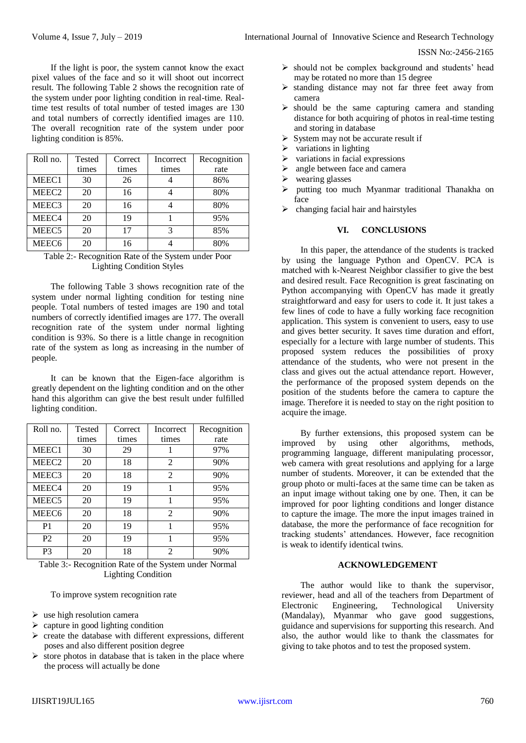ISSN No:-2456-2165

If the light is poor, the system cannot know the exact pixel values of the face and so it will shoot out incorrect result. The following Table 2 shows the recognition rate of the system under poor lighting condition in real-time. Realtime test results of total number of tested images are 130 and total numbers of correctly identified images are 110. The overall recognition rate of the system under poor lighting condition is 85%.

| Roll no.          | Tested | Correct | Incorrect | Recognition |
|-------------------|--------|---------|-----------|-------------|
|                   | times  | times   | times     | rate        |
| MEEC1             | 30     | 26      |           | 86%         |
| MEEC <sub>2</sub> | 20     | 16      |           | 80%         |
| MEEC <sub>3</sub> | 20     | 16      |           | 80%         |
| MEEC4             | 20     | 19      |           | 95%         |
| MEEC <sub>5</sub> | 20     | 17      | 3         | 85%         |
| MEEC <sub>6</sub> | 20     | 16      |           | 80%         |

Table 2:- Recognition Rate of the System under Poor Lighting Condition Styles

The following Table 3 shows recognition rate of the system under normal lighting condition for testing nine people. Total numbers of tested images are 190 and total numbers of correctly identified images are 177. The overall recognition rate of the system under normal lighting condition is 93%. So there is a little change in recognition rate of the system as long as increasing in the number of people.

It can be known that the Eigen-face algorithm is greatly dependent on the lighting condition and on the other hand this algorithm can give the best result under fulfilled lighting condition.

| Roll no.          | <b>Tested</b> | Correct | Incorrect      | Recognition |
|-------------------|---------------|---------|----------------|-------------|
|                   | times         | times   | times          | rate        |
| MEEC1             | 30            | 29      | 1              | 97%         |
| MEEC <sub>2</sub> | 20            | 18      | $\overline{2}$ | 90%         |
| MEEC <sub>3</sub> | 20            | 18      | $\overline{2}$ | 90%         |
| MEEC <sub>4</sub> | 20            | 19      | 1              | 95%         |
| MEEC <sub>5</sub> | 20            | 19      | 1              | 95%         |
| MEEC <sub>6</sub> | 20            | 18      | $\mathfrak{D}$ | 90%         |
| P <sub>1</sub>    | 20            | 19      | 1              | 95%         |
| P <sub>2</sub>    | 20            | 19      | 1              | 95%         |
| P3                | 20            | 18      | $\overline{c}$ | 90%         |

Table 3:- Recognition Rate of the System under Normal Lighting Condition

To improve system recognition rate

- $\triangleright$  use high resolution camera
- $\triangleright$  capture in good lighting condition
- $\triangleright$  create the database with different expressions, different poses and also different position degree
- $\triangleright$  store photos in database that is taken in the place where the process will actually be done
- $\triangleright$  should not be complex background and students' head may be rotated no more than 15 degree
- $\triangleright$  standing distance may not far three feet away from camera
- $\triangleright$  should be the same capturing camera and standing distance for both acquiring of photos in real-time testing and storing in database
- $\triangleright$  System may not be accurate result if
- variations in lighting
- $\triangleright$  variations in facial expressions
- $\triangleright$  angle between face and camera
- wearing glasses
- putting too much Myanmar traditional Thanakha on face
- $\triangleright$  changing facial hair and hairstyles

## **VI. CONCLUSIONS**

In this paper, the attendance of the students is tracked by using the language Python and OpenCV. PCA is matched with k-Nearest Neighbor classifier to give the best and desired result. Face Recognition is great fascinating on Python accompanying with OpenCV has made it greatly straightforward and easy for users to code it. It just takes a few lines of code to have a fully working face recognition application. This system is convenient to users, easy to use and gives better security. It saves time duration and effort, especially for a lecture with large number of students. This proposed system reduces the possibilities of proxy attendance of the students, who were not present in the class and gives out the actual attendance report. However, the performance of the proposed system depends on the position of the students before the camera to capture the image. Therefore it is needed to stay on the right position to acquire the image.

By further extensions, this proposed system can be improved by using other algorithms, methods, programming language, different manipulating processor, web camera with great resolutions and applying for a large number of students. Moreover, it can be extended that the group photo or multi-faces at the same time can be taken as an input image without taking one by one. Then, it can be improved for poor lighting conditions and longer distance to capture the image. The more the input images trained in database, the more the performance of face recognition for tracking students' attendances. However, face recognition is weak to identify identical twins.

## **ACKNOWLEDGEMENT**

The author would like to thank the supervisor, reviewer, head and all of the teachers from Department of Electronic Engineering, Technological University (Mandalay), Myanmar who gave good suggestions, guidance and supervisions for supporting this research. And also, the author would like to thank the classmates for giving to take photos and to test the proposed system.